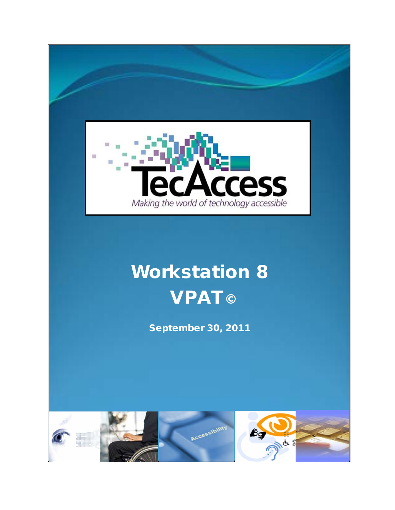

# Workstation 8 **VPAT©**

September 30, 2011

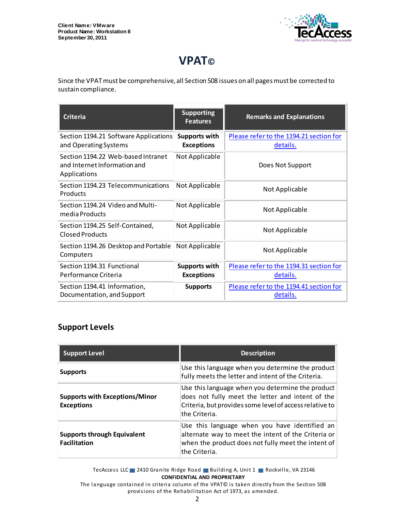

# **VPAT©**

Since the VPAT must be comprehensive, all Section 508 issues on all pages must be corrected to sustain compliance.

| <b>Criteria</b>                                                                    | <b>Supporting</b><br><b>Features</b>      | <b>Remarks and Explanations</b>                            |
|------------------------------------------------------------------------------------|-------------------------------------------|------------------------------------------------------------|
| Section 1194.21 Software Applications<br>and Operating Systems                     | Supports with<br><b>Exceptions</b>        | Please refer to the 1194.21 section for<br><u>details.</u> |
| Section 1194.22 Web-based Intranet<br>and Internet Information and<br>Applications | Not Applicable                            | Does Not Support                                           |
| Section 1194.23 Telecommunications<br>Products                                     | Not Applicable                            | Not Applicable                                             |
| Section 1194.24 Video and Multi-<br>media Products                                 | Not Applicable                            | Not Applicable                                             |
| Section 1194.25 Self-Contained,<br><b>Closed Products</b>                          | Not Applicable                            | Not Applicable                                             |
| Section 1194.26 Desktop and Portable<br>Computers                                  | Not Applicable                            | Not Applicable                                             |
| Section 1194.31 Functional<br>Performance Criteria                                 | <b>Supports with</b><br><b>Exceptions</b> | Please refer to the 1194.31 section for<br>details.        |
| Section 1194.41 Information,<br>Documentation, and Support                         | <b>Supports</b>                           | Please refer to the 1194.41 section for<br>details.        |

#### **Support Levels**

| <b>Support Level</b>                                       | <b>Description</b>                                                                                                                                                                |
|------------------------------------------------------------|-----------------------------------------------------------------------------------------------------------------------------------------------------------------------------------|
| <b>Supports</b>                                            | Use this language when you determine the product<br>fully meets the letter and intent of the Criteria.                                                                            |
| <b>Supports with Exceptions/Minor</b><br><b>Exceptions</b> | Use this language when you determine the product<br>does not fully meet the letter and intent of the<br>Criteria, but provides some level of access relative to<br>lthe Criteria. |
| <b>Supports through Equivalent</b><br><b>Facilitation</b>  | Use this language when you have identified an<br>alternate way to meet the intent of the Criteria or<br>when the product does not fully meet the intent of<br>lthe Criteria.      |

TecAccess LLC 2410 Granite Ridge Road Building A, Unit 1 Rockville, VA 23146 **CONFIDENTIAL AND PROPRIETARY**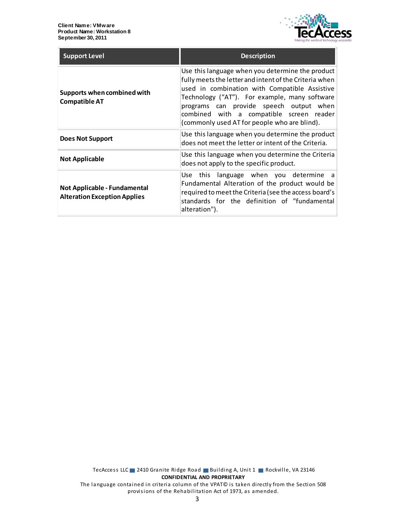

| <b>Support Level</b>                                                | <b>Description</b>                                                                                                                                                                                                                                                                                                                                  |
|---------------------------------------------------------------------|-----------------------------------------------------------------------------------------------------------------------------------------------------------------------------------------------------------------------------------------------------------------------------------------------------------------------------------------------------|
| Supports when combined with<br><b>Compatible AT</b>                 | Use this language when you determine the product<br>fully meets the letter and intent of the Criteria when<br>used in combination with Compatible Assistive<br>Technology ("AT"). For example, many software<br>programs can provide speech output when<br>combined with a compatible screen reader<br>(commonly used AT for people who are blind). |
| <b>Does Not Support</b>                                             | Use this language when you determine the product<br>does not meet the letter or intent of the Criteria.                                                                                                                                                                                                                                             |
| <b>Not Applicable</b>                                               | Use this language when you determine the Criteria<br>does not apply to the specific product.                                                                                                                                                                                                                                                        |
| Not Applicable - Fundamental<br><b>Alteration Exception Applies</b> | Use this language when you determine a<br>Fundamental Alteration of the product would be<br>required to meet the Criteria (see the access board's<br>standards for the definition of "fundamental<br>alteration").                                                                                                                                  |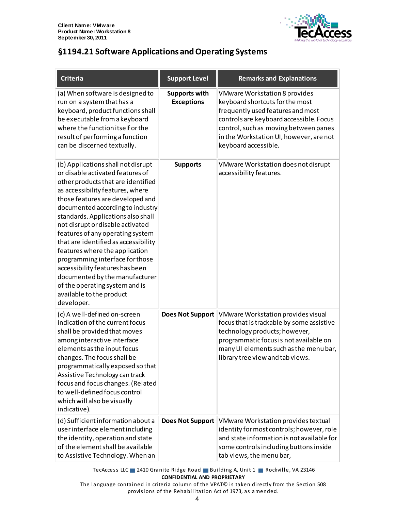

# <span id="page-3-0"></span>**§1194.21 Software Applications and Operating Systems**

| <b>Criteria</b>                                                                                                                                                                                                                                                                                                                                                                                                                                                                                                                                                                                      | <b>Support Level</b>                      | <b>Remarks and Explanations</b>                                                                                                                                                                                                                                     |
|------------------------------------------------------------------------------------------------------------------------------------------------------------------------------------------------------------------------------------------------------------------------------------------------------------------------------------------------------------------------------------------------------------------------------------------------------------------------------------------------------------------------------------------------------------------------------------------------------|-------------------------------------------|---------------------------------------------------------------------------------------------------------------------------------------------------------------------------------------------------------------------------------------------------------------------|
| (a) When software is designed to<br>run on a system that has a<br>keyboard, product functions shall<br>be executable from a keyboard<br>where the function itself or the<br>result of performing a function<br>can be discerned textually.                                                                                                                                                                                                                                                                                                                                                           | <b>Supports with</b><br><b>Exceptions</b> | <b>VMware Workstation 8 provides</b><br>keyboard shortcuts for the most<br>frequently used features and most<br>controls are keyboard accessible. Focus<br>control, such as moving between panes<br>in the Workstation UI, however, are not<br>keyboard accessible. |
| (b) Applications shall not disrupt<br>or disable activated features of<br>other products that are identified<br>as accessibility features, where<br>those features are developed and<br>documented according to industry<br>standards. Applications also shall<br>not disrupt or disable activated<br>features of any operating system<br>that are identified as accessibility<br>features where the application<br>programming interface for those<br>accessibility features has been<br>documented by the manufacturer<br>of the operating system and is<br>available to the product<br>developer. | <b>Supports</b>                           | VMware Workstation does not disrupt<br>accessibility features.                                                                                                                                                                                                      |
| (c) A well-defined on-screen<br>indication of the current focus<br>shall be provided that moves<br>among interactive interface<br>elements as the input focus<br>changes. The focus shall be<br>programmatically exposed so that<br>Assistive Technology can track<br>focus and focus changes. (Related<br>to well-defined focus control<br>which will also be visually<br>indicative).                                                                                                                                                                                                              | <b>Does Not Support</b>                   | VMware Workstation provides visual<br>focus that is trackable by some assistive<br>technology products; however,<br>programmatic focus is not available on<br>many UI elements such as the menu bar,<br>library tree view and tab views.                            |
| (d) Sufficient information about a<br>user interface element including<br>the identity, operation and state<br>of the element shall be available<br>to Assistive Technology. When an                                                                                                                                                                                                                                                                                                                                                                                                                 | <b>Does Not Support</b>                   | VMware Workstation provides textual<br>identity for most controls; however, role<br>and state information is not available for<br>some controls including buttons inside<br>tab views, the menu bar,                                                                |

TecAccess LLC 2410 Granite Ridge Road Building A, Unit 1 Rockville, VA 23146 **CONFIDENTIAL AND PROPRIETARY**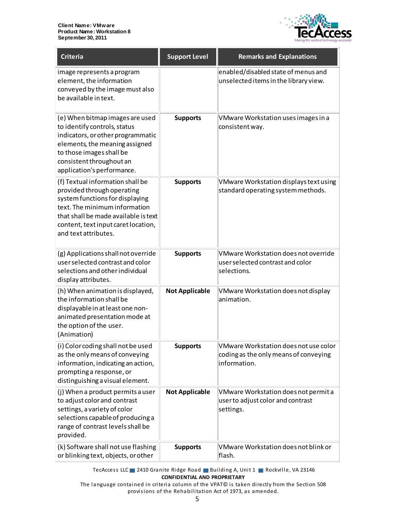

| <b>Criteria</b>                                                                                                                                                                                                                           | <b>Support Level</b>  | <b>Remarks and Explanations</b>                                                                |
|-------------------------------------------------------------------------------------------------------------------------------------------------------------------------------------------------------------------------------------------|-----------------------|------------------------------------------------------------------------------------------------|
| image represents a program<br>element, the information<br>conveyed by the image must also<br>be available in text.                                                                                                                        |                       | enabled/disabled state of menus and<br>unselected items in the library view.                   |
| (e) When bitmap images are used<br>to identify controls, status<br>indicators, or other programmatic<br>elements, the meaning assigned<br>to those images shall be<br>consistent throughout an<br>application's performance.              | <b>Supports</b>       | VMware Workstation uses images in a<br>consistent way.                                         |
| (f) Textual information shall be<br>provided through operating<br>system functions for displaying<br>text. The minimum information<br>that shall be made available is text<br>content, text input caret location,<br>and text attributes. | <b>Supports</b>       | VMware Workstation displays text using<br>standard operating system methods.                   |
| (g) Applications shall not override<br>user selected contrast and color<br>selections and other individual<br>display attributes.                                                                                                         | <b>Supports</b>       | VMware Workstation does not override<br>user selected contrast and color<br>selections.        |
| (h) When animation is displayed,<br>the information shall be<br>displayable in at least one non-<br>animated presentation mode at<br>the option of the user.<br>(Animation)                                                               | <b>Not Applicable</b> | VMware Workstation does not display<br>animation.                                              |
| (i) Color coding shall not be used<br>as the only means of conveying<br>information, indicating an action,<br>prompting a response, or<br>distinguishing a visual element.                                                                | <b>Supports</b>       | VMware Workstation does not use color<br>coding as the only means of conveying<br>information. |
| (j) When a product permits a user<br>to adjust color and contrast<br>settings, a variety of color<br>selections capable of producing a<br>range of contrast levels shall be<br>provided.                                                  | <b>Not Applicable</b> | VMware Workstation does not permit a<br>user to adjust color and contrast<br>settings.         |
| (k) Software shall not use flashing<br>or blinking text, objects, or other                                                                                                                                                                | <b>Supports</b>       | VMware Workstation does not blink or<br>flash.                                                 |

TecAccess LLC 2410 Granite Ridge Road Building A, Unit 1 Rockville, VA 23146 **CONFIDENTIAL AND PROPRIETARY**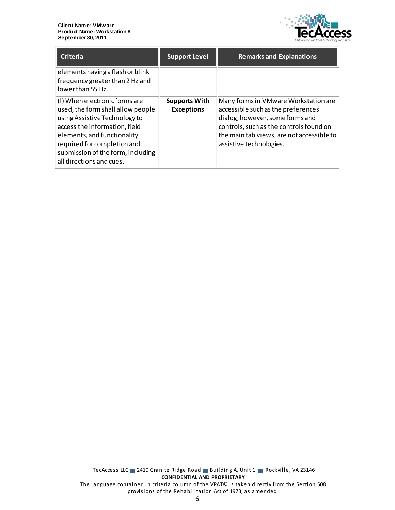

| <b>Criteria</b>                                                                                                                                                                                                                                                     | <b>Support Level</b>                      | <b>Remarks and Explanations</b>                                                                                                                                                                                                  |
|---------------------------------------------------------------------------------------------------------------------------------------------------------------------------------------------------------------------------------------------------------------------|-------------------------------------------|----------------------------------------------------------------------------------------------------------------------------------------------------------------------------------------------------------------------------------|
| elements having a flash or blink<br>frequency greater than 2 Hz and<br>lowerthan 55 Hz.                                                                                                                                                                             |                                           |                                                                                                                                                                                                                                  |
| (I) When electronic forms are<br>used, the form shall allow people<br>using Assistive Technology to<br>access the information, field<br>elements, and functionality<br>required for completion and<br>submission of the form, including<br>all directions and cues. | <b>Supports With</b><br><b>Exceptions</b> | Many forms in VMware Workstation are<br>accessible such as the preferences<br>dialog; however, some forms and<br>controls, such as the controls found on<br>the main tab views, are not accessible to<br>assistive technologies. |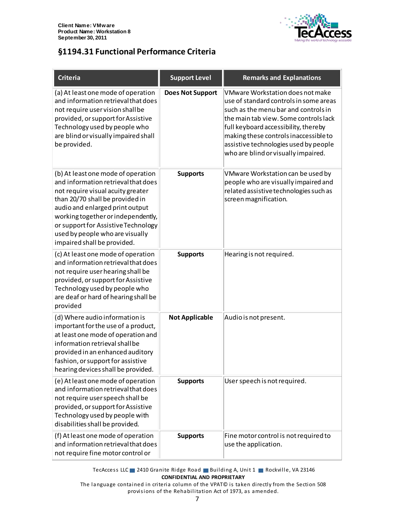

### <span id="page-6-0"></span>**§1194.31 Functional Performance Criteria**

| <b>Criteria</b>                                                                                                                                                                                                                                                                                                                     | <b>Support Level</b>    | <b>Remarks and Explanations</b>                                                                                                                                                                                                                                                                                              |
|-------------------------------------------------------------------------------------------------------------------------------------------------------------------------------------------------------------------------------------------------------------------------------------------------------------------------------------|-------------------------|------------------------------------------------------------------------------------------------------------------------------------------------------------------------------------------------------------------------------------------------------------------------------------------------------------------------------|
| (a) At least one mode of operation<br>and information retrieval that does<br>not require user vision shall be<br>provided, or support for Assistive<br>Technology used by people who<br>are blind or visually impaired shall<br>be provided.                                                                                        | <b>Does Not Support</b> | VMware Workstation does not make<br>use of standard controls in some areas<br>such as the menu bar and controls in<br>the main tab view. Some controls lack<br>full keyboard accessibility, thereby<br>making these controls inaccessible to<br>assistive technologies used by people<br>who are blind or visually impaired. |
| (b) At least one mode of operation<br>and information retrieval that does<br>not require visual acuity greater<br>than 20/70 shall be provided in<br>audio and enlarged print output<br>working together or independently,<br>or support for Assistive Technology<br>used by people who are visually<br>impaired shall be provided. | <b>Supports</b>         | VMware Workstation can be used by<br>people who are visually impaired and<br>related assistive technologies such as<br>screen magnification.                                                                                                                                                                                 |
| (c) At least one mode of operation<br>and information retrieval that does<br>not require user hearing shall be<br>provided, or support for Assistive<br>Technology used by people who<br>are deaf or hard of hearing shall be<br>provided                                                                                           | <b>Supports</b>         | Hearing is not required.                                                                                                                                                                                                                                                                                                     |
| (d) Where audio information is<br>important for the use of a product,<br>at least one mode of operation and<br>information retrieval shall be<br>provided in an enhanced auditory<br>fashion, or support for assistive<br>hearing devices shall be provided.                                                                        | <b>Not Applicable</b>   | Audio is not present.                                                                                                                                                                                                                                                                                                        |
| (e) At least one mode of operation<br>and information retrieval that does<br>not require user speech shall be<br>provided, or support for Assistive<br>Technology used by people with<br>disabilities shall be provided.                                                                                                            | <b>Supports</b>         | User speech is not required.                                                                                                                                                                                                                                                                                                 |
| (f) At least one mode of operation<br>and information retrieval that does<br>not require fine motor control or                                                                                                                                                                                                                      | <b>Supports</b>         | Fine motor control is not required to<br>use the application.                                                                                                                                                                                                                                                                |

TecAccess LLC 2410 Granite Ridge Road Building A, Unit 1 Rockville, VA 23146 **CONFIDENTIAL AND PROPRIETARY**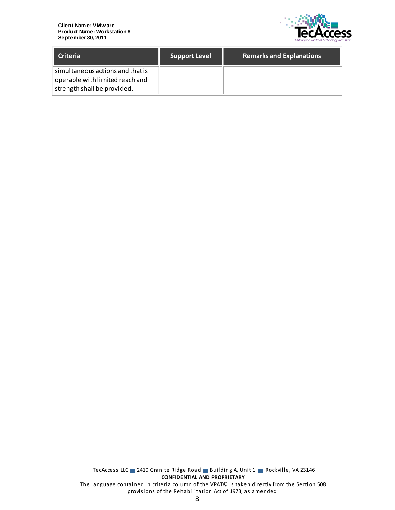

| <b>Criteria</b>                                                                                    | <b>Support Level</b> | <b>Remarks and Explanations</b> |
|----------------------------------------------------------------------------------------------------|----------------------|---------------------------------|
| simultaneous actions and that is<br>operable with limited reach and<br>strength shall be provided. |                      |                                 |

TecAccess LLC 2410 Granite Ridge Road Building A, Unit 1 Rockville, VA 23146 **CONFIDENTIAL AND PROPRIETARY** The language contained in criteria column of the VPAT© is taken directly from the Section 508 provisions of the Rehabilitation Act of 1973, as amended.